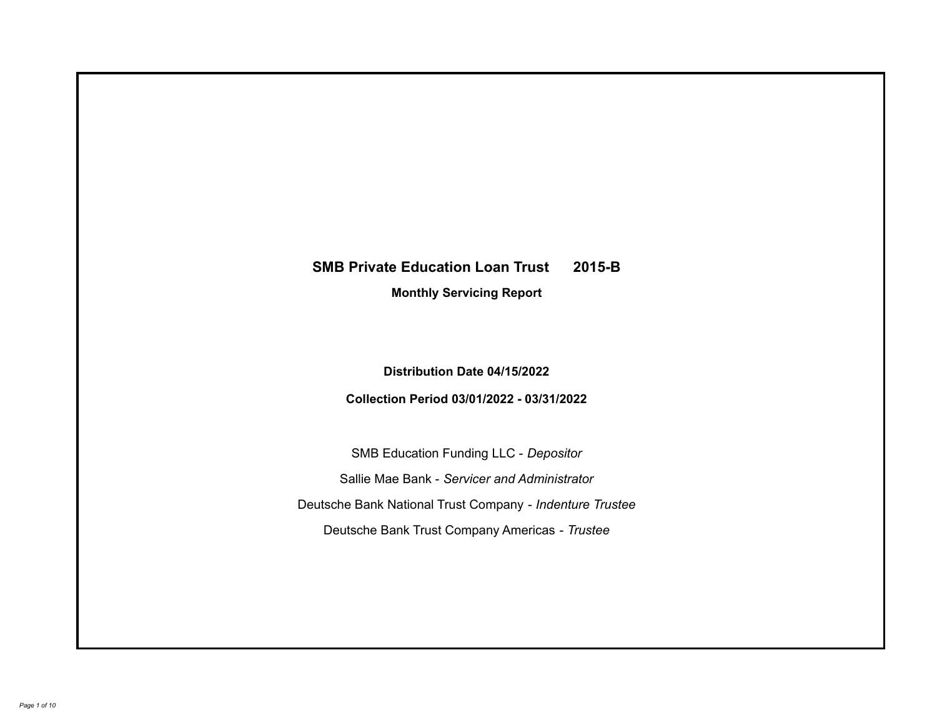# **SMB Private Education Loan Trust 2015-B**

**Monthly Servicing Report**

**Distribution Date 04/15/2022**

**Collection Period 03/01/2022 - 03/31/2022**

SMB Education Funding LLC - *Depositor* Sallie Mae Bank - *Servicer and Administrator* Deutsche Bank National Trust Company - *Indenture Trustee* Deutsche Bank Trust Company Americas - *Trustee*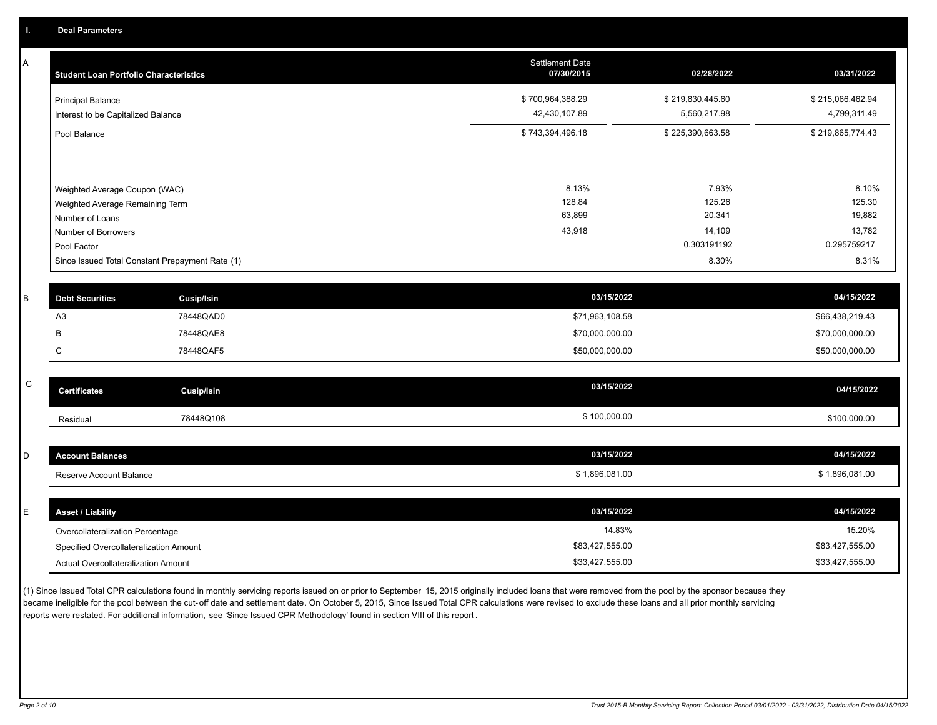A

| A | <b>Student Loan Portfolio Characteristics</b>                    |                   | <b>Settlement Date</b><br>07/30/2015 | 02/28/2022       | 03/31/2022       |
|---|------------------------------------------------------------------|-------------------|--------------------------------------|------------------|------------------|
|   | <b>Principal Balance</b>                                         |                   | \$700,964,388.29                     | \$219,830,445.60 | \$215,066,462.94 |
|   | Interest to be Capitalized Balance                               |                   | 42,430,107.89                        | 5,560,217.98     | 4,799,311.49     |
|   | Pool Balance                                                     |                   | \$743,394,496.18                     | \$225,390,663.58 | \$219,865,774.43 |
|   |                                                                  |                   | 8.13%                                | 7.93%            | 8.10%            |
|   | Weighted Average Coupon (WAC)<br>Weighted Average Remaining Term |                   | 128.84                               | 125.26           | 125.30           |
|   | Number of Loans                                                  |                   | 63,899                               | 20,341           | 19,882           |
|   | Number of Borrowers                                              |                   | 43,918                               | 14,109           | 13,782           |
|   | Pool Factor                                                      |                   |                                      | 0.303191192      | 0.295759217      |
|   | Since Issued Total Constant Prepayment Rate (1)                  |                   |                                      | 8.30%            | 8.31%            |
|   |                                                                  |                   |                                      |                  |                  |
| B | <b>Debt Securities</b>                                           | <b>Cusip/Isin</b> | 03/15/2022                           |                  | 04/15/2022       |
|   | A <sub>3</sub>                                                   | 78448QAD0         | \$71,963,108.58                      |                  | \$66,438,219.43  |
|   | В                                                                | 78448QAE8         | \$70,000,000.00                      |                  | \$70,000,000.00  |
|   | C                                                                | 78448QAF5         | \$50,000,000.00                      |                  | \$50,000,000.00  |
|   |                                                                  |                   |                                      |                  |                  |
| C | <b>Certificates</b>                                              | <b>Cusip/Isin</b> | 03/15/2022                           |                  | 04/15/2022       |
|   | Residual                                                         | 78448Q108         | \$100,000.00                         |                  | \$100,000.00     |
|   |                                                                  |                   |                                      |                  |                  |
| D | <b>Account Balances</b>                                          |                   | 03/15/2022                           |                  | 04/15/2022       |
|   | Reserve Account Balance                                          |                   | \$1,896,081.00                       |                  | \$1,896,081.00   |
|   |                                                                  |                   |                                      |                  |                  |
| E | <b>Asset / Liability</b>                                         |                   | 03/15/2022                           |                  | 04/15/2022       |
|   | Overcollateralization Percentage                                 |                   | 14.83%                               |                  | 15.20%           |
|   | Specified Overcollateralization Amount                           |                   | \$83,427,555.00                      |                  | \$83,427,555.00  |

(1) Since Issued Total CPR calculations found in monthly servicing reports issued on or prior to September 15, 2015 originally included loans that were removed from the pool by the sponsor because they became ineligible for the pool between the cut-off date and settlement date. On October 5, 2015, Since Issued Total CPR calculations were revised to exclude these loans and all prior monthly servicing reports were restated. For additional information, see 'Since Issued CPR Methodology' found in section VIII of this report .

Actual Overcollateralization Amount \$33,427,555.00

\$33,427,555.00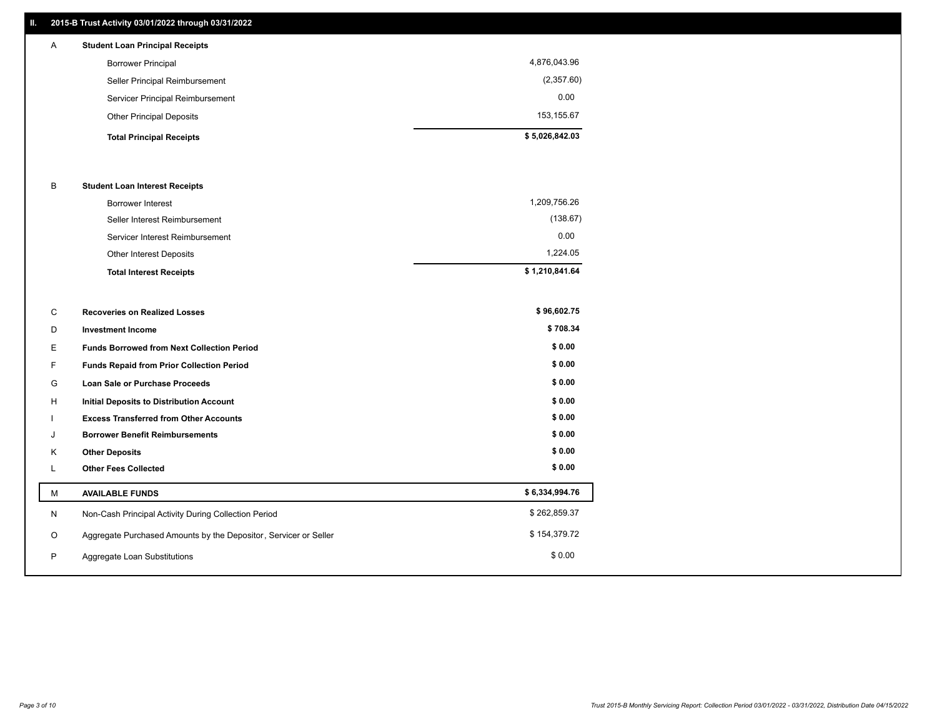## **II. 2015-B Trust Activity 03/01/2022 through 03/31/2022**

| A | <b>Student Loan Principal Receipts</b> |                |
|---|----------------------------------------|----------------|
|   | <b>Borrower Principal</b>              | 4,876,043.96   |
|   | Seller Principal Reimbursement         | (2,357.60)     |
|   | Servicer Principal Reimbursement       | 0.00           |
|   | <b>Other Principal Deposits</b>        | 153,155.67     |
|   | <b>Total Principal Receipts</b>        | \$5,026,842.03 |

#### B **Student Loan Interest Receipts**

| <b>Total Interest Receipts</b>  | \$1,210,841.64 |
|---------------------------------|----------------|
| Other Interest Deposits         | 1,224.05       |
| Servicer Interest Reimbursement | 0.00           |
| Seller Interest Reimbursement   | (138.67)       |
| <b>Borrower Interest</b>        | 1,209,756.26   |

| C  | <b>Recoveries on Realized Losses</b>                             | \$96,602.75    |
|----|------------------------------------------------------------------|----------------|
| D  | <b>Investment Income</b>                                         | \$708.34       |
| E  | <b>Funds Borrowed from Next Collection Period</b>                | \$0.00         |
| F. | <b>Funds Repaid from Prior Collection Period</b>                 | \$0.00         |
| G  | <b>Loan Sale or Purchase Proceeds</b>                            | \$0.00         |
| H  | <b>Initial Deposits to Distribution Account</b>                  | \$0.00         |
|    | <b>Excess Transferred from Other Accounts</b>                    | \$0.00         |
| J  | <b>Borrower Benefit Reimbursements</b>                           | \$0.00         |
| K  | <b>Other Deposits</b>                                            | \$0.00         |
| L. | <b>Other Fees Collected</b>                                      | \$0.00         |
| м  | <b>AVAILABLE FUNDS</b>                                           | \$6,334,994.76 |
| N  | Non-Cash Principal Activity During Collection Period             | \$262,859.37   |
| O  | Aggregate Purchased Amounts by the Depositor, Servicer or Seller | \$154,379.72   |
| P  | Aggregate Loan Substitutions                                     | \$0.00         |
|    |                                                                  |                |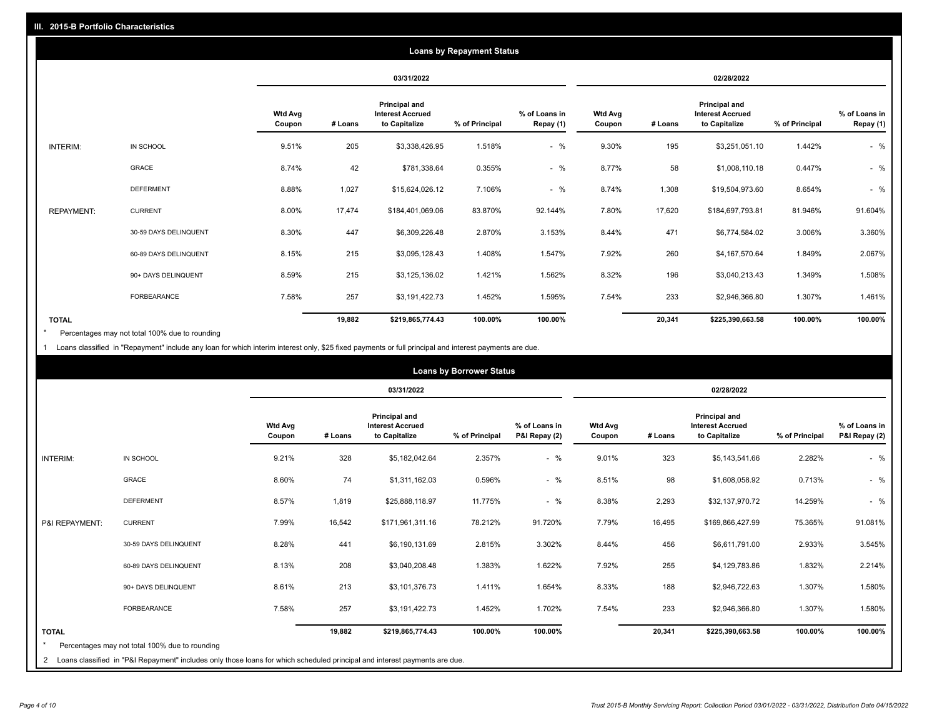|                   | <b>Loans by Repayment Status</b> |                          |            |                                                                  |                |                            |                          |         |                                                           |                |                            |
|-------------------|----------------------------------|--------------------------|------------|------------------------------------------------------------------|----------------|----------------------------|--------------------------|---------|-----------------------------------------------------------|----------------|----------------------------|
|                   |                                  |                          | 03/31/2022 |                                                                  |                | 02/28/2022                 |                          |         |                                                           |                |                            |
|                   |                                  | <b>Wtd Avg</b><br>Coupon | # Loans    | <b>Principal and</b><br><b>Interest Accrued</b><br>to Capitalize | % of Principal | % of Loans in<br>Repay (1) | <b>Wtd Avg</b><br>Coupon | # Loans | Principal and<br><b>Interest Accrued</b><br>to Capitalize | % of Principal | % of Loans in<br>Repay (1) |
| INTERIM:          | IN SCHOOL                        | 9.51%                    | 205        | \$3,338,426.95                                                   | 1.518%         | $-$ %                      | 9.30%                    | 195     | \$3,251,051.10                                            | 1.442%         | $-$ %                      |
|                   | GRACE                            | 8.74%                    | 42         | \$781,338.64                                                     | 0.355%         | $-$ %                      | 8.77%                    | 58      | \$1,008,110.18                                            | 0.447%         | $-$ %                      |
|                   | <b>DEFERMENT</b>                 | 8.88%                    | 1,027      | \$15,624,026.12                                                  | 7.106%         | $-$ %                      | 8.74%                    | 1,308   | \$19,504,973.60                                           | 8.654%         | $-$ %                      |
| <b>REPAYMENT:</b> | <b>CURRENT</b>                   | 8.00%                    | 17,474     | \$184,401,069.06                                                 | 83.870%        | 92.144%                    | 7.80%                    | 17,620  | \$184,697,793.81                                          | 81.946%        | 91.604%                    |
|                   | 30-59 DAYS DELINQUENT            | 8.30%                    | 447        | \$6,309,226.48                                                   | 2.870%         | 3.153%                     | 8.44%                    | 471     | \$6,774,584.02                                            | 3.006%         | 3.360%                     |
|                   | 60-89 DAYS DELINQUENT            | 8.15%                    | 215        | \$3,095,128.43                                                   | 1.408%         | 1.547%                     | 7.92%                    | 260     | \$4,167,570.64                                            | 1.849%         | 2.067%                     |
|                   | 90+ DAYS DELINQUENT              | 8.59%                    | 215        | \$3,125,136.02                                                   | 1.421%         | 1.562%                     | 8.32%                    | 196     | \$3,040,213.43                                            | 1.349%         | 1.508%                     |
|                   | <b>FORBEARANCE</b>               | 7.58%                    | 257        | \$3,191,422.73                                                   | 1.452%         | 1.595%                     | 7.54%                    | 233     | \$2,946,366.80                                            | 1.307%         | 1.461%                     |
| <b>TOTAL</b>      |                                  |                          | 19,882     | \$219,865,774.43                                                 | 100.00%        | 100.00%                    |                          | 20,341  | \$225,390,663.58                                          | 100.00%        | 100.00%                    |

Percentages may not total 100% due to rounding \*

1 Loans classified in "Repayment" include any loan for which interim interest only, \$25 fixed payments or full principal and interest payments are due.

|                         | <b>Loans by Borrower Status</b>                                                                                              |                          |            |                                                           |                |                                |                          |         |                                                           |                |                                |
|-------------------------|------------------------------------------------------------------------------------------------------------------------------|--------------------------|------------|-----------------------------------------------------------|----------------|--------------------------------|--------------------------|---------|-----------------------------------------------------------|----------------|--------------------------------|
|                         |                                                                                                                              |                          | 03/31/2022 |                                                           |                | 02/28/2022                     |                          |         |                                                           |                |                                |
|                         |                                                                                                                              | <b>Wtd Avg</b><br>Coupon | # Loans    | Principal and<br><b>Interest Accrued</b><br>to Capitalize | % of Principal | % of Loans in<br>P&I Repay (2) | <b>Wtd Avg</b><br>Coupon | # Loans | Principal and<br><b>Interest Accrued</b><br>to Capitalize | % of Principal | % of Loans in<br>P&I Repay (2) |
| <b>INTERIM:</b>         | IN SCHOOL                                                                                                                    | 9.21%                    | 328        | \$5,182,042.64                                            | 2.357%         | $-$ %                          | 9.01%                    | 323     | \$5,143,541.66                                            | 2.282%         | $-$ %                          |
|                         | <b>GRACE</b>                                                                                                                 | 8.60%                    | 74         | \$1,311,162.03                                            | 0.596%         | $-$ %                          | 8.51%                    | 98      | \$1,608,058.92                                            | 0.713%         | $-$ %                          |
|                         | <b>DEFERMENT</b>                                                                                                             | 8.57%                    | 1,819      | \$25,888,118.97                                           | 11.775%        | $-$ %                          | 8.38%                    | 2,293   | \$32,137,970.72                                           | 14.259%        | $-$ %                          |
| P&I REPAYMENT:          | <b>CURRENT</b>                                                                                                               | 7.99%                    | 16,542     | \$171,961,311.16                                          | 78.212%        | 91.720%                        | 7.79%                    | 16,495  | \$169,866,427.99                                          | 75.365%        | 91.081%                        |
|                         | 30-59 DAYS DELINQUENT                                                                                                        | 8.28%                    | 441        | \$6,190,131.69                                            | 2.815%         | 3.302%                         | 8.44%                    | 456     | \$6,611,791.00                                            | 2.933%         | 3.545%                         |
|                         | 60-89 DAYS DELINQUENT                                                                                                        | 8.13%                    | 208        | \$3,040,208.48                                            | 1.383%         | 1.622%                         | 7.92%                    | 255     | \$4,129,783.86                                            | 1.832%         | 2.214%                         |
|                         | 90+ DAYS DELINQUENT                                                                                                          | 8.61%                    | 213        | \$3,101,376.73                                            | 1.411%         | 1.654%                         | 8.33%                    | 188     | \$2,946,722.63                                            | 1.307%         | 1.580%                         |
|                         | <b>FORBEARANCE</b>                                                                                                           | 7.58%                    | 257        | \$3,191,422.73                                            | 1.452%         | 1.702%                         | 7.54%                    | 233     | \$2,946,366.80                                            | 1.307%         | 1.580%                         |
| <b>TOTAL</b><br>$\star$ | Percentages may not total 100% due to rounding                                                                               |                          | 19,882     | \$219,865,774.43                                          | 100.00%        | 100.00%                        |                          | 20,341  | \$225,390,663.58                                          | 100.00%        | 100.00%                        |
|                         | 2 Loans classified in "P&I Repayment" includes only those loans for which scheduled principal and interest payments are due. |                          |            |                                                           |                |                                |                          |         |                                                           |                |                                |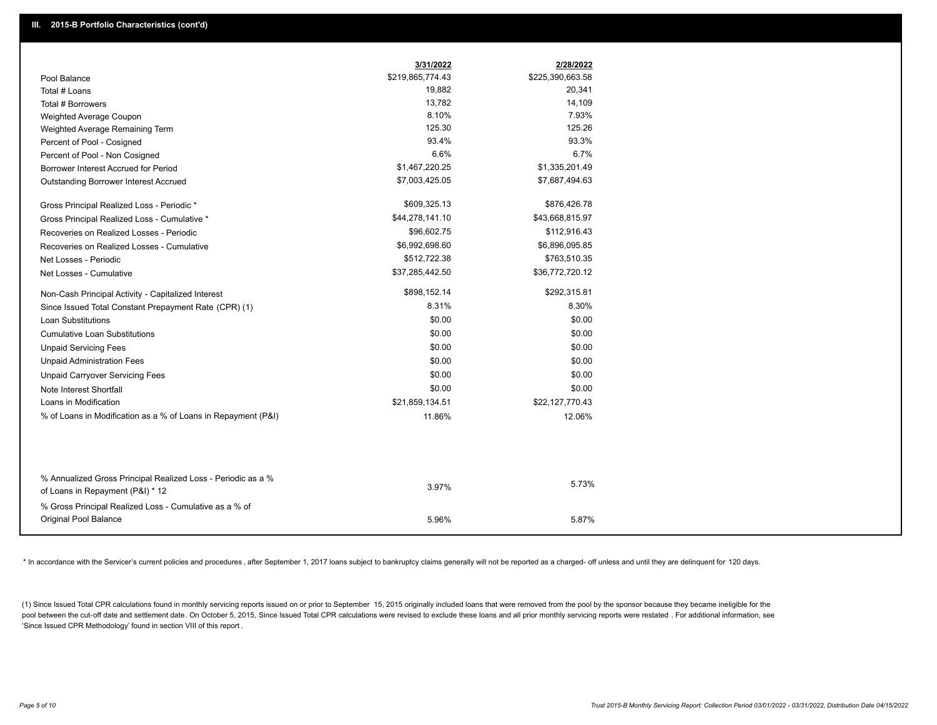|                                                                                                  | 3/31/2022        | 2/28/2022        |
|--------------------------------------------------------------------------------------------------|------------------|------------------|
| Pool Balance                                                                                     | \$219,865,774.43 | \$225,390,663.58 |
| Total # Loans                                                                                    | 19,882           | 20,341           |
| Total # Borrowers                                                                                | 13,782           | 14,109           |
| Weighted Average Coupon                                                                          | 8.10%            | 7.93%            |
| Weighted Average Remaining Term                                                                  | 125.30           | 125.26           |
| Percent of Pool - Cosigned                                                                       | 93.4%            | 93.3%            |
| Percent of Pool - Non Cosigned                                                                   | 6.6%             | 6.7%             |
| Borrower Interest Accrued for Period                                                             | \$1,467,220.25   | \$1,335,201.49   |
| Outstanding Borrower Interest Accrued                                                            | \$7,003,425.05   | \$7,687,494.63   |
| Gross Principal Realized Loss - Periodic *                                                       | \$609,325.13     | \$876,426.78     |
| Gross Principal Realized Loss - Cumulative *                                                     | \$44,278,141.10  | \$43,668,815.97  |
| Recoveries on Realized Losses - Periodic                                                         | \$96,602.75      | \$112,916.43     |
| Recoveries on Realized Losses - Cumulative                                                       | \$6,992,698.60   | \$6,896,095.85   |
| Net Losses - Periodic                                                                            | \$512,722.38     | \$763,510.35     |
| Net Losses - Cumulative                                                                          | \$37,285,442.50  | \$36,772,720.12  |
| Non-Cash Principal Activity - Capitalized Interest                                               | \$898,152.14     | \$292,315.81     |
| Since Issued Total Constant Prepayment Rate (CPR) (1)                                            | 8.31%            | 8.30%            |
| <b>Loan Substitutions</b>                                                                        | \$0.00           | \$0.00           |
| <b>Cumulative Loan Substitutions</b>                                                             | \$0.00           | \$0.00           |
| <b>Unpaid Servicing Fees</b>                                                                     | \$0.00           | \$0.00           |
| <b>Unpaid Administration Fees</b>                                                                | \$0.00           | \$0.00           |
| <b>Unpaid Carryover Servicing Fees</b>                                                           | \$0.00           | \$0.00           |
| Note Interest Shortfall                                                                          | \$0.00           | \$0.00           |
| Loans in Modification                                                                            | \$21,859,134.51  | \$22,127,770.43  |
| % of Loans in Modification as a % of Loans in Repayment (P&I)                                    | 11.86%           | 12.06%           |
|                                                                                                  |                  |                  |
|                                                                                                  |                  |                  |
| % Annualized Gross Principal Realized Loss - Periodic as a %<br>of Loans in Repayment (P&I) * 12 | 3.97%            | 5.73%            |
| % Gross Principal Realized Loss - Cumulative as a % of                                           |                  |                  |
| <b>Original Pool Balance</b>                                                                     | 5.96%            | 5.87%            |

\* In accordance with the Servicer's current policies and procedures, after September 1, 2017 loans subject to bankruptcy claims generally will not be reported as a charged- off unless and until they are delinquent for 120

(1) Since Issued Total CPR calculations found in monthly servicing reports issued on or prior to September 15, 2015 originally included loans that were removed from the pool by the sponsor because they became ineligible fo pool between the cut-off date and settlement date. On October 5, 2015, Since Issued Total CPR calculations were revised to exclude these loans and all prior monthly servicing reports were restated. For additional informati 'Since Issued CPR Methodology' found in section VIII of this report .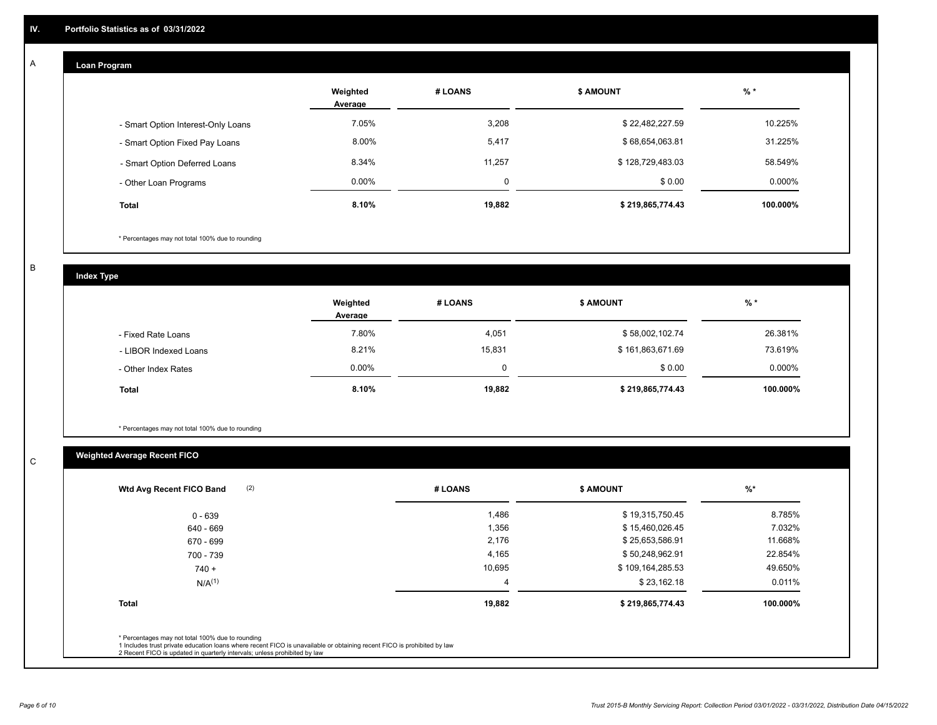## **Loan Program**

A

|                                    | Weighted<br>Average | # LOANS  | <b>\$ AMOUNT</b> | $%$ *    |
|------------------------------------|---------------------|----------|------------------|----------|
| - Smart Option Interest-Only Loans | 7.05%               | 3,208    | \$22,482,227.59  | 10.225%  |
| - Smart Option Fixed Pay Loans     | 8.00%               | 5,417    | \$68,654,063.81  | 31.225%  |
| - Smart Option Deferred Loans      | 8.34%               | 11.257   | \$128,729,483.03 | 58.549%  |
| - Other Loan Programs              | $0.00\%$            | $\Omega$ | \$0.00           | 0.000%   |
| <b>Total</b>                       | 8.10%               | 19,882   | \$219,865,774.43 | 100.000% |

\* Percentages may not total 100% due to rounding

B

C

**Index Type**

|                       | Weighted<br>Average | # LOANS | <b>\$ AMOUNT</b> | $%$ *     |
|-----------------------|---------------------|---------|------------------|-----------|
| - Fixed Rate Loans    | 7.80%               | 4,051   | \$58,002,102.74  | 26.381%   |
| - LIBOR Indexed Loans | 8.21%               | 15,831  | \$161,863,671.69 | 73.619%   |
| - Other Index Rates   | $0.00\%$            |         | \$0.00           | $0.000\%$ |
| <b>Total</b>          | 8.10%               | 19,882  | \$219,865,774.43 | 100.000%  |

\* Percentages may not total 100% due to rounding

## **Weighted Average Recent FICO**

| # LOANS | <b>\$ AMOUNT</b> | $%$ *    |
|---------|------------------|----------|
| 1,486   | \$19,315,750.45  | 8.785%   |
| 1,356   | \$15,460,026.45  | 7.032%   |
| 2,176   | \$25,653,586.91  | 11.668%  |
| 4,165   | \$50,248,962.91  | 22.854%  |
| 10,695  | \$109,164,285.53 | 49.650%  |
| 4       | \$23,162.18      | 0.011%   |
| 19,882  | \$219,865,774.43 | 100.000% |
|         |                  |          |
|         |                  |          |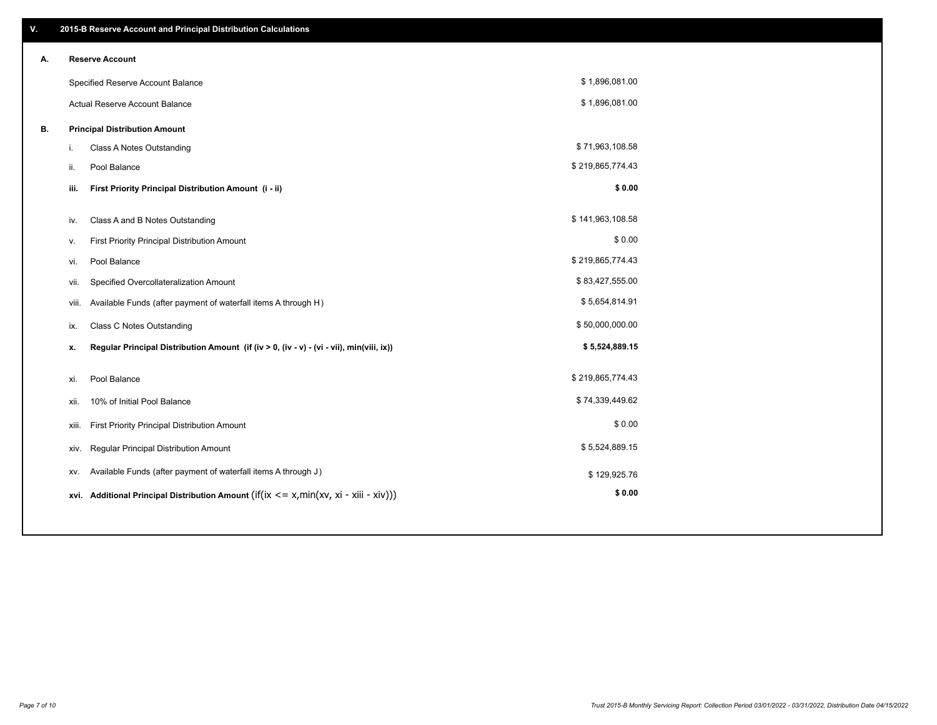| V. |                        | 2015-B Reserve Account and Principal Distribution Calculations                                      |                  |  |  |  |  |  |
|----|------------------------|-----------------------------------------------------------------------------------------------------|------------------|--|--|--|--|--|
| А. | <b>Reserve Account</b> |                                                                                                     |                  |  |  |  |  |  |
|    |                        | Specified Reserve Account Balance                                                                   | \$1,896,081.00   |  |  |  |  |  |
|    |                        | Actual Reserve Account Balance                                                                      | \$1,896,081.00   |  |  |  |  |  |
| В. |                        | <b>Principal Distribution Amount</b>                                                                |                  |  |  |  |  |  |
|    |                        | Class A Notes Outstanding<br>i.                                                                     | \$71,963,108.58  |  |  |  |  |  |
|    |                        | Pool Balance<br>ii.                                                                                 | \$219,865,774.43 |  |  |  |  |  |
|    |                        | First Priority Principal Distribution Amount (i - ii)<br>iii.                                       | \$0.00           |  |  |  |  |  |
|    |                        |                                                                                                     |                  |  |  |  |  |  |
|    |                        | Class A and B Notes Outstanding<br>iv.                                                              | \$141,963,108.58 |  |  |  |  |  |
|    |                        | First Priority Principal Distribution Amount<br>v.                                                  | \$0.00           |  |  |  |  |  |
|    |                        | Pool Balance<br>vi.                                                                                 | \$219,865,774.43 |  |  |  |  |  |
|    |                        | Specified Overcollateralization Amount<br>vii.                                                      | \$83,427,555.00  |  |  |  |  |  |
|    |                        | Available Funds (after payment of waterfall items A through H)<br>viii.                             | \$5,654,814.91   |  |  |  |  |  |
|    |                        | <b>Class C Notes Outstanding</b><br>ix.                                                             | \$50,000,000.00  |  |  |  |  |  |
|    |                        | Regular Principal Distribution Amount (if (iv > 0, (iv - v) - (vi - vii), min(viii, ix))<br>x.      | \$5,524,889.15   |  |  |  |  |  |
|    |                        |                                                                                                     |                  |  |  |  |  |  |
|    |                        | Pool Balance<br>xi.                                                                                 | \$219,865,774.43 |  |  |  |  |  |
|    |                        | 10% of Initial Pool Balance<br>xii.                                                                 | \$74,339,449.62  |  |  |  |  |  |
|    |                        | First Priority Principal Distribution Amount<br>xiii.                                               | \$0.00           |  |  |  |  |  |
|    |                        | Regular Principal Distribution Amount<br>xiv.                                                       | \$5,524,889.15   |  |  |  |  |  |
|    |                        | Available Funds (after payment of waterfall items A through J)<br>XV.                               | \$129,925.76     |  |  |  |  |  |
|    |                        | xvi. Additional Principal Distribution Amount (if( $ix \le x$ , min( $xv$ , $xi$ - $xiii - xiv$ ))) | \$0.00           |  |  |  |  |  |
|    |                        |                                                                                                     |                  |  |  |  |  |  |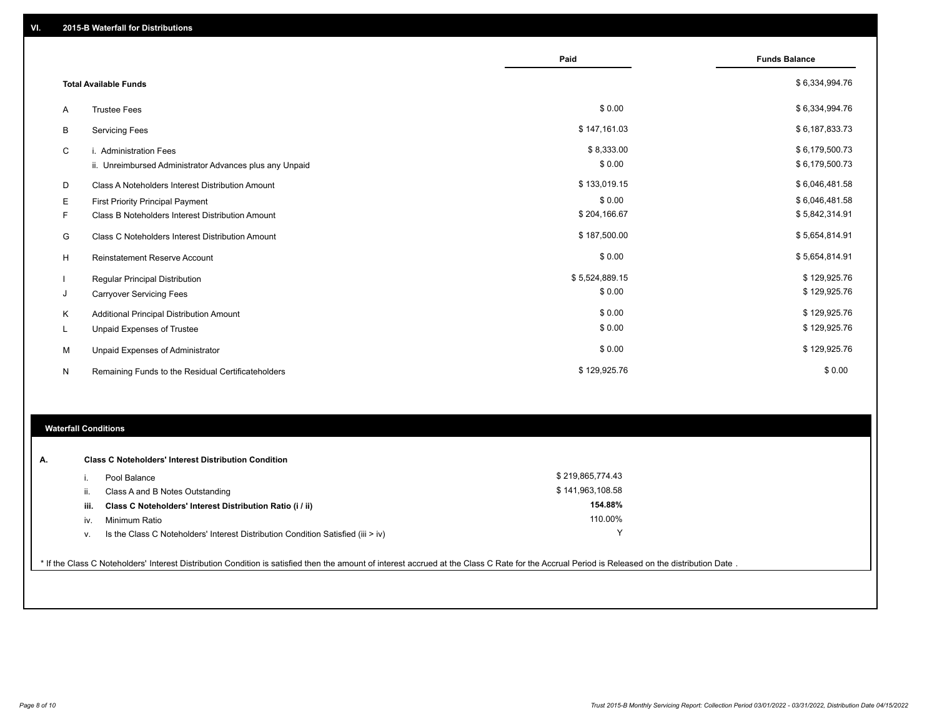|   |                                                         | Paid           | <b>Funds Balance</b> |
|---|---------------------------------------------------------|----------------|----------------------|
|   | <b>Total Available Funds</b>                            |                | \$6,334,994.76       |
| A | <b>Trustee Fees</b>                                     | \$0.00         | \$6,334,994.76       |
| В | <b>Servicing Fees</b>                                   | \$147,161.03   | \$6,187,833.73       |
| C | i. Administration Fees                                  | \$8,333.00     | \$6,179,500.73       |
|   | ii. Unreimbursed Administrator Advances plus any Unpaid | \$0.00         | \$6,179,500.73       |
| D | Class A Noteholders Interest Distribution Amount        | \$133,019.15   | \$6,046,481.58       |
| Е | <b>First Priority Principal Payment</b>                 | \$0.00         | \$6,046,481.58       |
| F | Class B Noteholders Interest Distribution Amount        | \$204,166.67   | \$5,842,314.91       |
| G | Class C Noteholders Interest Distribution Amount        | \$187,500.00   | \$5,654,814.91       |
| н | <b>Reinstatement Reserve Account</b>                    | \$0.00         | \$5,654,814.91       |
|   | <b>Regular Principal Distribution</b>                   | \$5,524,889.15 | \$129,925.76         |
| J | <b>Carryover Servicing Fees</b>                         | \$0.00         | \$129,925.76         |
| K | Additional Principal Distribution Amount                | \$0.00         | \$129,925.76         |
| L | <b>Unpaid Expenses of Trustee</b>                       | \$0.00         | \$129,925.76         |
| M | Unpaid Expenses of Administrator                        | \$0.00         | \$129,925.76         |
| N | Remaining Funds to the Residual Certificateholders      | \$129,925.76   | \$0.00               |

### **Waterfall Conditions**

| А. | <b>Class C Noteholders' Interest Distribution Condition</b> |                                                                                    |                  |  |  |  |
|----|-------------------------------------------------------------|------------------------------------------------------------------------------------|------------------|--|--|--|
|    |                                                             | Pool Balance                                                                       | \$219,865,774.43 |  |  |  |
|    | H.                                                          | Class A and B Notes Outstanding                                                    | \$141,963,108.58 |  |  |  |
|    | iii.                                                        | Class C Noteholders' Interest Distribution Ratio (i / ii)                          | 154.88%          |  |  |  |
|    | IV.                                                         | Minimum Ratio                                                                      | 110.00%          |  |  |  |
|    | ν.                                                          | Is the Class C Noteholders' Interest Distribution Condition Satisfied (iii $>$ iv) | $\checkmark$     |  |  |  |
|    |                                                             |                                                                                    |                  |  |  |  |

\* If the Class C Noteholders' Interest Distribution Condition is satisfied then the amount of interest accrued at the Class C Rate for the Accrual Period is Released on the distribution Date .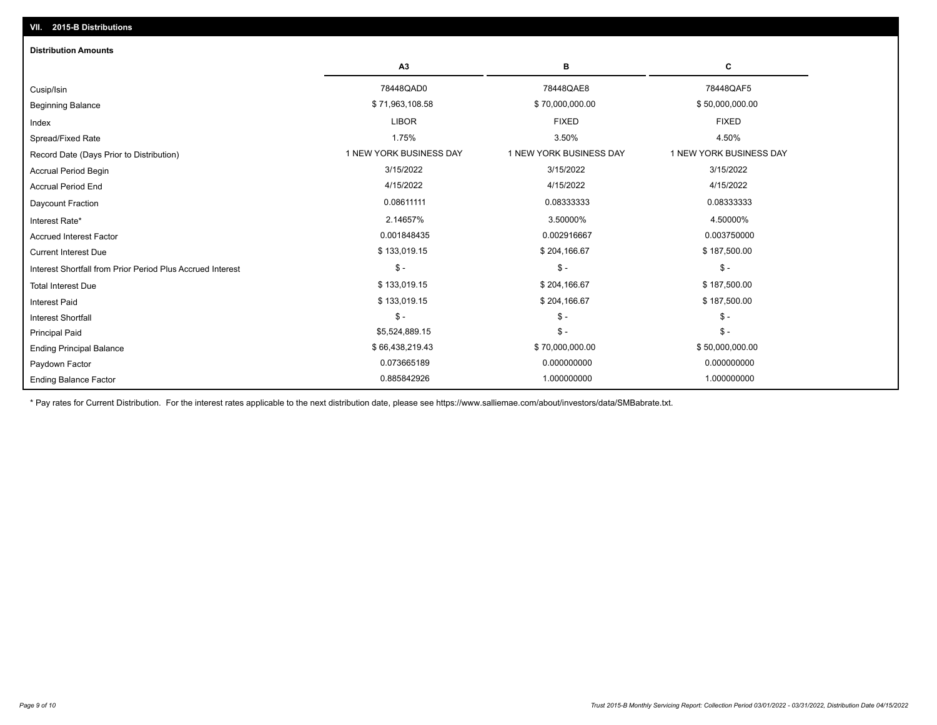| <b>Distribution Amounts</b>                                |                         |                         |                         |
|------------------------------------------------------------|-------------------------|-------------------------|-------------------------|
|                                                            | A3                      | в                       | С                       |
| Cusip/Isin                                                 | 78448QAD0               | 78448QAE8               | 78448QAF5               |
| <b>Beginning Balance</b>                                   | \$71,963,108.58         | \$70,000,000.00         | \$50,000,000.00         |
| Index                                                      | <b>LIBOR</b>            | <b>FIXED</b>            | <b>FIXED</b>            |
| Spread/Fixed Rate                                          | 1.75%                   | 3.50%                   | 4.50%                   |
| Record Date (Days Prior to Distribution)                   | 1 NEW YORK BUSINESS DAY | 1 NEW YORK BUSINESS DAY | 1 NEW YORK BUSINESS DAY |
| <b>Accrual Period Begin</b>                                | 3/15/2022               | 3/15/2022               | 3/15/2022               |
| <b>Accrual Period End</b>                                  | 4/15/2022               | 4/15/2022               | 4/15/2022               |
| <b>Daycount Fraction</b>                                   | 0.08611111              | 0.08333333              | 0.08333333              |
| Interest Rate*                                             | 2.14657%                | 3.50000%                | 4.50000%                |
| <b>Accrued Interest Factor</b>                             | 0.001848435             | 0.002916667             | 0.003750000             |
| <b>Current Interest Due</b>                                | \$133,019.15            | \$204,166.67            | \$187,500.00            |
| Interest Shortfall from Prior Period Plus Accrued Interest | $\mathsf{\$}$ -         | $\mathsf{\$}$ -         | $\mathsf{\$}$ -         |
| <b>Total Interest Due</b>                                  | \$133,019.15            | \$204,166.67            | \$187,500.00            |
| <b>Interest Paid</b>                                       | \$133,019.15            | \$204,166.67            | \$187,500.00            |
| <b>Interest Shortfall</b>                                  | $\mathsf{\$}$ -         | $\mathsf{\$}$ -         | $$ -$                   |
| <b>Principal Paid</b>                                      | \$5,524,889.15          | $\mathsf{\$}$ -         | $$ -$                   |
| <b>Ending Principal Balance</b>                            | \$66,438,219.43         | \$70,000,000.00         | \$50,000,000.00         |
| Paydown Factor                                             | 0.073665189             | 0.000000000             | 0.000000000             |
| <b>Ending Balance Factor</b>                               | 0.885842926             | 1.000000000             | 1.000000000             |

\* Pay rates for Current Distribution. For the interest rates applicable to the next distribution date, please see https://www.salliemae.com/about/investors/data/SMBabrate.txt.

**VII. 2015-B Distributions**